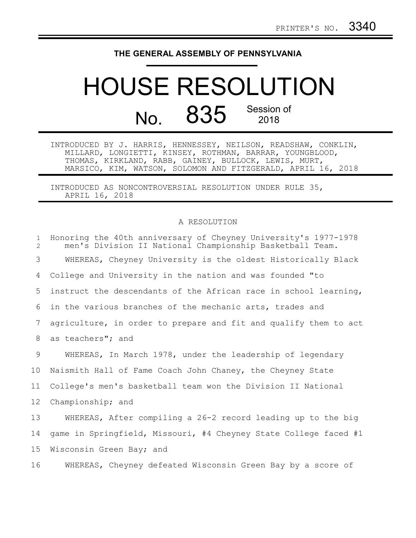## **THE GENERAL ASSEMBLY OF PENNSYLVANIA**

## HOUSE RESOLUTION  $N<sub>0</sub>$  835 Session of 2018

INTRODUCED BY J. HARRIS, HENNESSEY, NEILSON, READSHAW, CONKLIN, MILLARD, LONGIETTI, KINSEY, ROTHMAN, BARRAR, YOUNGBLOOD, THOMAS, KIRKLAND, RABB, GAINEY, BULLOCK, LEWIS, MURT, MARSICO, KIM, WATSON, SOLOMON AND FITZGERALD, APRIL 16, 2018

INTRODUCED AS NONCONTROVERSIAL RESOLUTION UNDER RULE 35, APRIL 16, 2018

## A RESOLUTION

Honoring the 40th anniversary of Cheyney University's 1977-1978 men's Division II National Championship Basketball Team. WHEREAS, Cheyney University is the oldest Historically Black College and University in the nation and was founded "to instruct the descendants of the African race in school learning, in the various branches of the mechanic arts, trades and agriculture, in order to prepare and fit and qualify them to act as teachers"; and WHEREAS, In March 1978, under the leadership of legendary Naismith Hall of Fame Coach John Chaney, the Cheyney State College's men's basketball team won the Division II National Championship; and WHEREAS, After compiling a 26-2 record leading up to the big game in Springfield, Missouri, #4 Cheyney State College faced #1 Wisconsin Green Bay; and 1 2 3 4 5 6 7 8 9 10 11 12 13 14 15

WHEREAS, Cheyney defeated Wisconsin Green Bay by a score of 16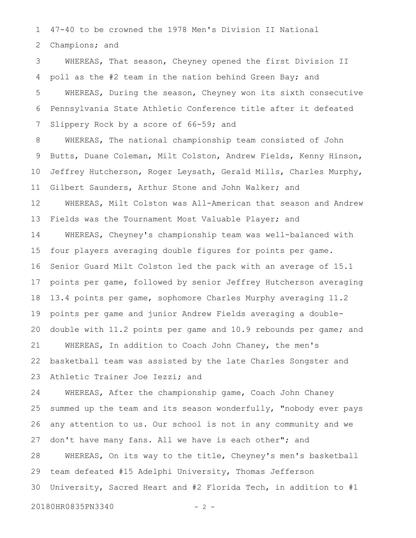47-40 to be crowned the 1978 Men's Division II National Champions; and 1 2

WHEREAS, That season, Cheyney opened the first Division II poll as the #2 team in the nation behind Green Bay; and WHEREAS, During the season, Cheyney won its sixth consecutive Pennsylvania State Athletic Conference title after it defeated Slippery Rock by a score of 66-59; and 3 4 5 6 7

WHEREAS, The national championship team consisted of John Butts, Duane Coleman, Milt Colston, Andrew Fields, Kenny Hinson, Jeffrey Hutcherson, Roger Leysath, Gerald Mills, Charles Murphy, Gilbert Saunders, Arthur Stone and John Walker; and 8 9 10 11

WHEREAS, Milt Colston was All-American that season and Andrew Fields was the Tournament Most Valuable Player; and 12 13

WHEREAS, Cheyney's championship team was well-balanced with four players averaging double figures for points per game. Senior Guard Milt Colston led the pack with an average of 15.1 points per game, followed by senior Jeffrey Hutcherson averaging 13.4 points per game, sophomore Charles Murphy averaging 11.2 points per game and junior Andrew Fields averaging a doubledouble with 11.2 points per game and 10.9 rebounds per game; and WHEREAS, In addition to Coach John Chaney, the men's basketball team was assisted by the late Charles Songster and Athletic Trainer Joe Iezzi; and 14 15 16 17 18 19 20 21 22 23

WHEREAS, After the championship game, Coach John Chaney summed up the team and its season wonderfully, "nobody ever pays any attention to us. Our school is not in any community and we don't have many fans. All we have is each other"; and WHEREAS, On its way to the title, Cheyney's men's basketball team defeated #15 Adelphi University, Thomas Jefferson University, Sacred Heart and #2 Florida Tech, in addition to #1 24 25 26 27 28 29 30

20180HR0835PN3340 - 2 -